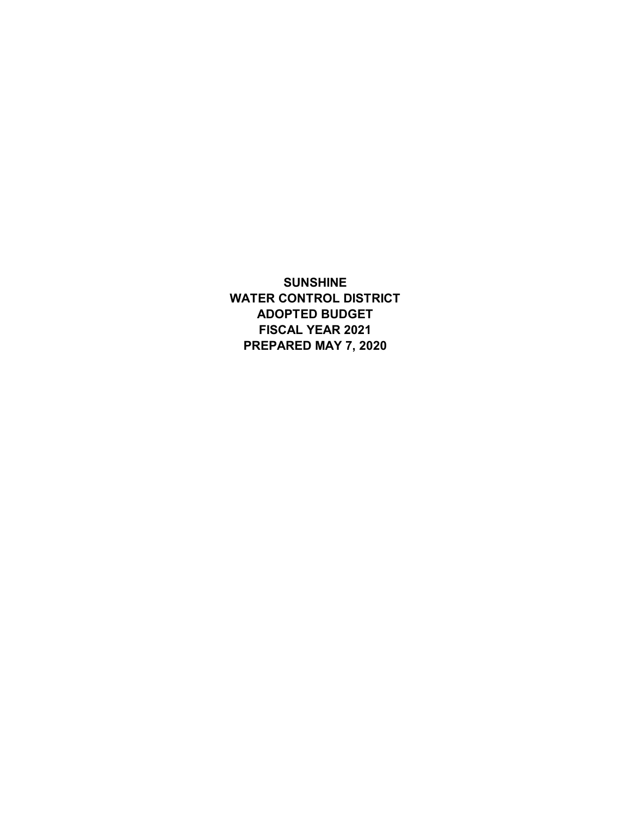**SUNSHINE WATER CONTROL DISTRICT ADOPTED BUDGET FISCAL YEAR 2021 PREPARED MAY 7, 2020**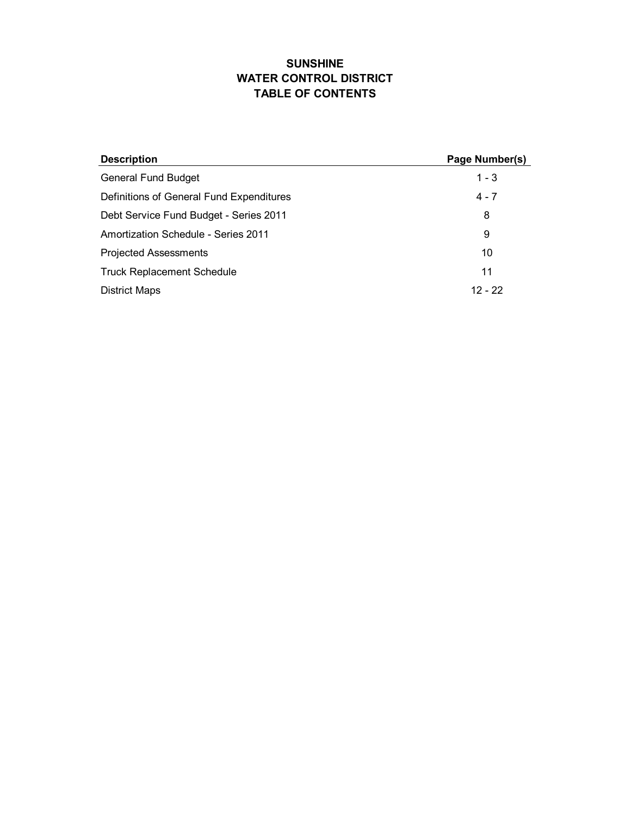# **SUNSHINE WATER CONTROL DISTRICT TABLE OF CONTENTS**

| <b>Description</b>                       | Page Number(s) |
|------------------------------------------|----------------|
| <b>General Fund Budget</b>               | $1 - 3$        |
| Definitions of General Fund Expenditures | $4 - 7$        |
| Debt Service Fund Budget - Series 2011   | 8              |
| Amortization Schedule - Series 2011      | 9              |
| <b>Projected Assessments</b>             | 10             |
| <b>Truck Replacement Schedule</b>        | 11             |
| <b>District Maps</b>                     | $12 - 22$      |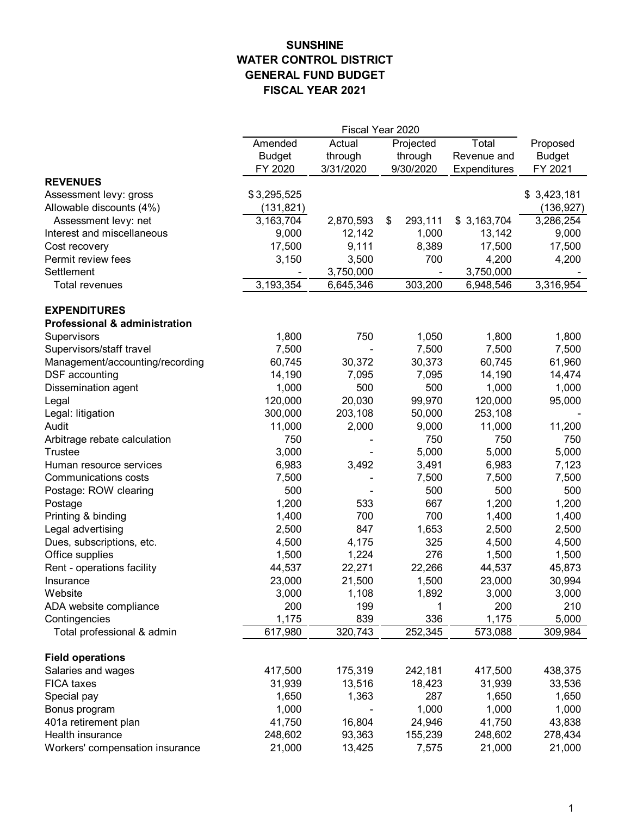# **SUNSHINE WATER CONTROL DISTRICT GENERAL FUND BUDGET FISCAL YEAR 2021**

|                                          |                           |           | Fiscal Year 2020 |              |               |  |
|------------------------------------------|---------------------------|-----------|------------------|--------------|---------------|--|
|                                          | Amended                   | Actual    | Projected        | Total        | Proposed      |  |
|                                          | <b>Budget</b>             | through   | through          | Revenue and  | <b>Budget</b> |  |
|                                          | FY 2020                   | 3/31/2020 | 9/30/2020        | Expenditures | FY 2021       |  |
| <b>REVENUES</b>                          |                           |           |                  |              |               |  |
| Assessment levy: gross                   | \$3,295,525               |           |                  |              | \$3,423,181   |  |
| Allowable discounts (4%)                 | (131, 821)                |           |                  |              | (136, 927)    |  |
| Assessment levy: net                     | $\overline{3}$ , 163, 704 | 2,870,593 | \$<br>293,111    | \$3,163,704  | 3,286,254     |  |
| Interest and miscellaneous               | 9,000                     | 12,142    | 1,000            | 13,142       | 9,000         |  |
| Cost recovery                            | 17,500                    | 9,111     | 8,389            | 17,500       | 17,500        |  |
| Permit review fees                       | 3,150                     | 3,500     | 700              | 4,200        | 4,200         |  |
| Settlement                               |                           | 3,750,000 |                  | 3,750,000    |               |  |
| <b>Total revenues</b>                    | 3,193,354                 | 6,645,346 | 303,200          | 6,948,546    | 3,316,954     |  |
| <b>EXPENDITURES</b>                      |                           |           |                  |              |               |  |
| <b>Professional &amp; administration</b> |                           |           |                  |              |               |  |
| Supervisors                              | 1,800                     | 750       | 1,050            | 1,800        | 1,800         |  |
| Supervisors/staff travel                 |                           |           | 7,500            | 7,500        | 7,500         |  |
|                                          | 7,500                     | 30,372    |                  |              |               |  |
| Management/accounting/recording          | 60,745                    |           | 30,373           | 60,745       | 61,960        |  |
| DSF accounting                           | 14,190                    | 7,095     | 7,095            | 14,190       | 14,474        |  |
| Dissemination agent                      | 1,000                     | 500       | 500              | 1,000        | 1,000         |  |
| Legal                                    | 120,000                   | 20,030    | 99,970           | 120,000      | 95,000        |  |
| Legal: litigation                        | 300,000                   | 203,108   | 50,000           | 253,108      |               |  |
| Audit                                    | 11,000                    | 2,000     | 9,000            | 11,000       | 11,200        |  |
| Arbitrage rebate calculation             | 750                       |           | 750              | 750          | 750           |  |
| <b>Trustee</b>                           | 3,000                     |           | 5,000            | 5,000        | 5,000         |  |
| Human resource services                  | 6,983                     | 3,492     | 3,491            | 6,983        | 7,123         |  |
| Communications costs                     | 7,500                     |           | 7,500            | 7,500        | 7,500         |  |
| Postage: ROW clearing                    | 500                       |           | 500              | 500          | 500           |  |
| Postage                                  | 1,200                     | 533       | 667              | 1,200        | 1,200         |  |
| Printing & binding                       | 1,400                     | 700       | 700              | 1,400        | 1,400         |  |
| Legal advertising                        | 2,500                     | 847       | 1,653            | 2,500        | 2,500         |  |
| Dues, subscriptions, etc.                | 4,500                     | 4,175     | 325              | 4,500        | 4,500         |  |
| Office supplies                          | 1,500                     | 1,224     | 276              | 1,500        | 1,500         |  |
| Rent - operations facility               | 44,537                    | 22,271    | 22,266           | 44,537       | 45,873        |  |
| Insurance                                | 23,000                    | 21,500    | 1,500            | 23,000       | 30,994        |  |
| Website                                  | 3,000                     | 1,108     | 1,892            | 3,000        | 3,000         |  |
| ADA website compliance                   | 200                       | 199       | 1                | 200          | 210           |  |
| Contingencies                            | 1,175                     | 839       | 336              | 1,175        | 5,000         |  |
| Total professional & admin               | 617,980                   | 320,743   | 252,345          | 573,088      | 309,984       |  |
| <b>Field operations</b>                  |                           |           |                  |              |               |  |
| Salaries and wages                       | 417,500                   | 175,319   | 242,181          | 417,500      | 438,375       |  |
| FICA taxes                               | 31,939                    | 13,516    | 18,423           | 31,939       | 33,536        |  |
| Special pay                              | 1,650                     | 1,363     | 287              | 1,650        | 1,650         |  |
| Bonus program                            | 1,000                     |           | 1,000            | 1,000        | 1,000         |  |
| 401a retirement plan                     | 41,750                    | 16,804    | 24,946           | 41,750       | 43,838        |  |
| Health insurance                         | 248,602                   | 93,363    | 155,239          | 248,602      | 278,434       |  |
| Workers' compensation insurance          | 21,000                    | 13,425    | 7,575            | 21,000       | 21,000        |  |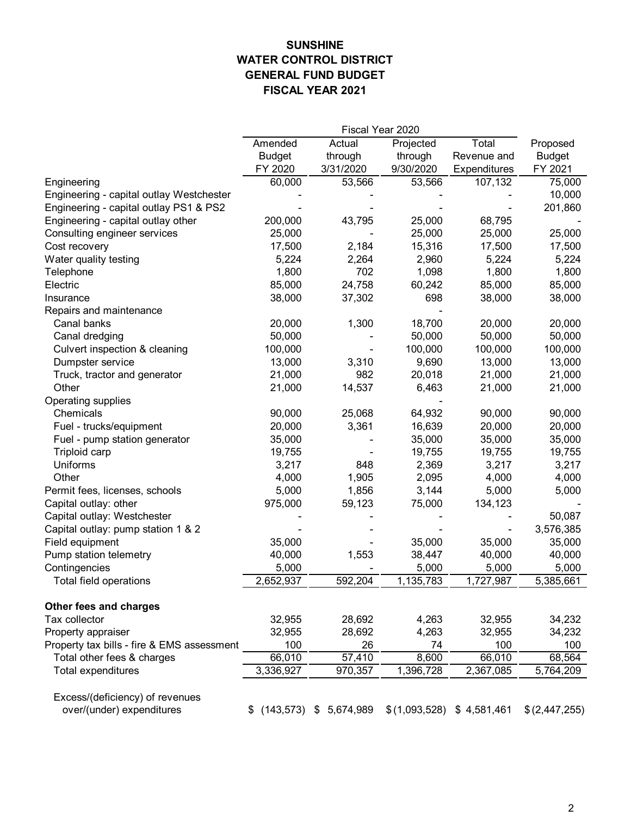# **SUNSHINE WATER CONTROL DISTRICT GENERAL FUND BUDGET FISCAL YEAR 2021**

| Total<br>Amended<br>Actual<br>Projected<br>through<br><b>Budget</b><br>through<br>Revenue and<br>FY 2020<br>3/31/2020<br>9/30/2020<br>Expenditures<br>60,000<br>53,566<br>53,566<br>107,132<br>Engineering<br>Engineering - capital outlay Westchester<br>Engineering - capital outlay PS1 & PS2<br>68,795<br>Engineering - capital outlay other<br>200,000<br>43,795<br>25,000<br>25,000<br>Consulting engineer services<br>25,000<br>25,000<br>15,316<br>Cost recovery<br>17,500<br>2,184<br>17,500<br>Water quality testing<br>5,224<br>2,264<br>2,960<br>5,224<br>702<br>1,098<br>1,800<br>1,800<br>Telephone<br>85,000<br>24,758<br>60,242<br>85,000<br>Electric<br>38,000<br>37,302<br>698<br>38,000<br>Insurance<br>Repairs and maintenance<br>Canal banks<br>20,000<br>1,300<br>18,700<br>20,000<br>50,000<br>Canal dredging<br>50,000<br>50,000<br>100,000<br>Culvert inspection & cleaning<br>100,000<br>100,000 |               |
|----------------------------------------------------------------------------------------------------------------------------------------------------------------------------------------------------------------------------------------------------------------------------------------------------------------------------------------------------------------------------------------------------------------------------------------------------------------------------------------------------------------------------------------------------------------------------------------------------------------------------------------------------------------------------------------------------------------------------------------------------------------------------------------------------------------------------------------------------------------------------------------------------------------------------|---------------|
|                                                                                                                                                                                                                                                                                                                                                                                                                                                                                                                                                                                                                                                                                                                                                                                                                                                                                                                            | Proposed      |
|                                                                                                                                                                                                                                                                                                                                                                                                                                                                                                                                                                                                                                                                                                                                                                                                                                                                                                                            | <b>Budget</b> |
|                                                                                                                                                                                                                                                                                                                                                                                                                                                                                                                                                                                                                                                                                                                                                                                                                                                                                                                            | FY 2021       |
|                                                                                                                                                                                                                                                                                                                                                                                                                                                                                                                                                                                                                                                                                                                                                                                                                                                                                                                            | 75,000        |
|                                                                                                                                                                                                                                                                                                                                                                                                                                                                                                                                                                                                                                                                                                                                                                                                                                                                                                                            | 10,000        |
|                                                                                                                                                                                                                                                                                                                                                                                                                                                                                                                                                                                                                                                                                                                                                                                                                                                                                                                            | 201,860       |
|                                                                                                                                                                                                                                                                                                                                                                                                                                                                                                                                                                                                                                                                                                                                                                                                                                                                                                                            |               |
|                                                                                                                                                                                                                                                                                                                                                                                                                                                                                                                                                                                                                                                                                                                                                                                                                                                                                                                            | 25,000        |
|                                                                                                                                                                                                                                                                                                                                                                                                                                                                                                                                                                                                                                                                                                                                                                                                                                                                                                                            | 17,500        |
|                                                                                                                                                                                                                                                                                                                                                                                                                                                                                                                                                                                                                                                                                                                                                                                                                                                                                                                            | 5,224         |
|                                                                                                                                                                                                                                                                                                                                                                                                                                                                                                                                                                                                                                                                                                                                                                                                                                                                                                                            | 1,800         |
|                                                                                                                                                                                                                                                                                                                                                                                                                                                                                                                                                                                                                                                                                                                                                                                                                                                                                                                            | 85,000        |
|                                                                                                                                                                                                                                                                                                                                                                                                                                                                                                                                                                                                                                                                                                                                                                                                                                                                                                                            | 38,000        |
|                                                                                                                                                                                                                                                                                                                                                                                                                                                                                                                                                                                                                                                                                                                                                                                                                                                                                                                            |               |
|                                                                                                                                                                                                                                                                                                                                                                                                                                                                                                                                                                                                                                                                                                                                                                                                                                                                                                                            | 20,000        |
|                                                                                                                                                                                                                                                                                                                                                                                                                                                                                                                                                                                                                                                                                                                                                                                                                                                                                                                            | 50,000        |
|                                                                                                                                                                                                                                                                                                                                                                                                                                                                                                                                                                                                                                                                                                                                                                                                                                                                                                                            | 100,000       |
| 9,690<br>Dumpster service<br>13,000<br>3,310<br>13,000                                                                                                                                                                                                                                                                                                                                                                                                                                                                                                                                                                                                                                                                                                                                                                                                                                                                     | 13,000        |
| 982<br>Truck, tractor and generator<br>21,000<br>20,018<br>21,000                                                                                                                                                                                                                                                                                                                                                                                                                                                                                                                                                                                                                                                                                                                                                                                                                                                          | 21,000        |
| Other<br>21,000<br>14,537<br>6,463<br>21,000                                                                                                                                                                                                                                                                                                                                                                                                                                                                                                                                                                                                                                                                                                                                                                                                                                                                               | 21,000        |
| Operating supplies                                                                                                                                                                                                                                                                                                                                                                                                                                                                                                                                                                                                                                                                                                                                                                                                                                                                                                         |               |
| Chemicals<br>90,000<br>25,068<br>64,932<br>90,000                                                                                                                                                                                                                                                                                                                                                                                                                                                                                                                                                                                                                                                                                                                                                                                                                                                                          | 90,000        |
| 3,361<br>16,639<br>20,000<br>Fuel - trucks/equipment<br>20,000                                                                                                                                                                                                                                                                                                                                                                                                                                                                                                                                                                                                                                                                                                                                                                                                                                                             | 20,000        |
| 35,000<br>35,000<br>35,000<br>Fuel - pump station generator                                                                                                                                                                                                                                                                                                                                                                                                                                                                                                                                                                                                                                                                                                                                                                                                                                                                | 35,000        |
| 19,755<br>Triploid carp<br>19,755<br>19,755                                                                                                                                                                                                                                                                                                                                                                                                                                                                                                                                                                                                                                                                                                                                                                                                                                                                                | 19,755        |
| Uniforms<br>3,217<br>2,369<br>3,217<br>848                                                                                                                                                                                                                                                                                                                                                                                                                                                                                                                                                                                                                                                                                                                                                                                                                                                                                 | 3,217         |
| Other<br>4,000<br>1,905<br>2,095<br>4,000                                                                                                                                                                                                                                                                                                                                                                                                                                                                                                                                                                                                                                                                                                                                                                                                                                                                                  | 4,000         |
| 5,000<br>1,856<br>3,144<br>Permit fees, licenses, schools<br>5,000                                                                                                                                                                                                                                                                                                                                                                                                                                                                                                                                                                                                                                                                                                                                                                                                                                                         | 5,000         |
| Capital outlay: other<br>975,000<br>59,123<br>75,000<br>134,123                                                                                                                                                                                                                                                                                                                                                                                                                                                                                                                                                                                                                                                                                                                                                                                                                                                            |               |
| Capital outlay: Westchester                                                                                                                                                                                                                                                                                                                                                                                                                                                                                                                                                                                                                                                                                                                                                                                                                                                                                                | 50,087        |
| Capital outlay: pump station 1 & 2                                                                                                                                                                                                                                                                                                                                                                                                                                                                                                                                                                                                                                                                                                                                                                                                                                                                                         | 3,576,385     |
| Field equipment<br>35,000<br>35,000<br>35,000                                                                                                                                                                                                                                                                                                                                                                                                                                                                                                                                                                                                                                                                                                                                                                                                                                                                              | 35,000        |
| 40,000<br>1,553<br>Pump station telemetry<br>38,447<br>40,000                                                                                                                                                                                                                                                                                                                                                                                                                                                                                                                                                                                                                                                                                                                                                                                                                                                              | 40,000        |
| Contingencies<br>5,000<br>5,000<br>5,000                                                                                                                                                                                                                                                                                                                                                                                                                                                                                                                                                                                                                                                                                                                                                                                                                                                                                   | 5,000         |
| 2,652,937<br>592,204<br>1,135,783<br>1,727,987<br>Total field operations                                                                                                                                                                                                                                                                                                                                                                                                                                                                                                                                                                                                                                                                                                                                                                                                                                                   | 5,385,661     |
| Other fees and charges                                                                                                                                                                                                                                                                                                                                                                                                                                                                                                                                                                                                                                                                                                                                                                                                                                                                                                     |               |
| Tax collector<br>32,955<br>32,955<br>28,692<br>4,263                                                                                                                                                                                                                                                                                                                                                                                                                                                                                                                                                                                                                                                                                                                                                                                                                                                                       | 34,232        |
| 32,955<br>28,692<br>4,263<br>32,955<br>Property appraiser                                                                                                                                                                                                                                                                                                                                                                                                                                                                                                                                                                                                                                                                                                                                                                                                                                                                  | 34,232        |
| 100<br>26<br>100<br>Property tax bills - fire & EMS assessment<br>74                                                                                                                                                                                                                                                                                                                                                                                                                                                                                                                                                                                                                                                                                                                                                                                                                                                       | 100           |
| 57,410<br>66,010<br>66,010<br>Total other fees & charges<br>8,600                                                                                                                                                                                                                                                                                                                                                                                                                                                                                                                                                                                                                                                                                                                                                                                                                                                          | 68,564        |
| Total expenditures<br>3,336,927<br>970,357<br>1,396,728<br>2,367,085                                                                                                                                                                                                                                                                                                                                                                                                                                                                                                                                                                                                                                                                                                                                                                                                                                                       | 5,764,209     |
| Excess/(deficiency) of revenues<br>over/(under) expenditures<br>$$$ (143,573) $$$ 5,674,989<br>\$(1,093,528)<br>\$4,581,461                                                                                                                                                                                                                                                                                                                                                                                                                                                                                                                                                                                                                                                                                                                                                                                                | \$(2,447,255) |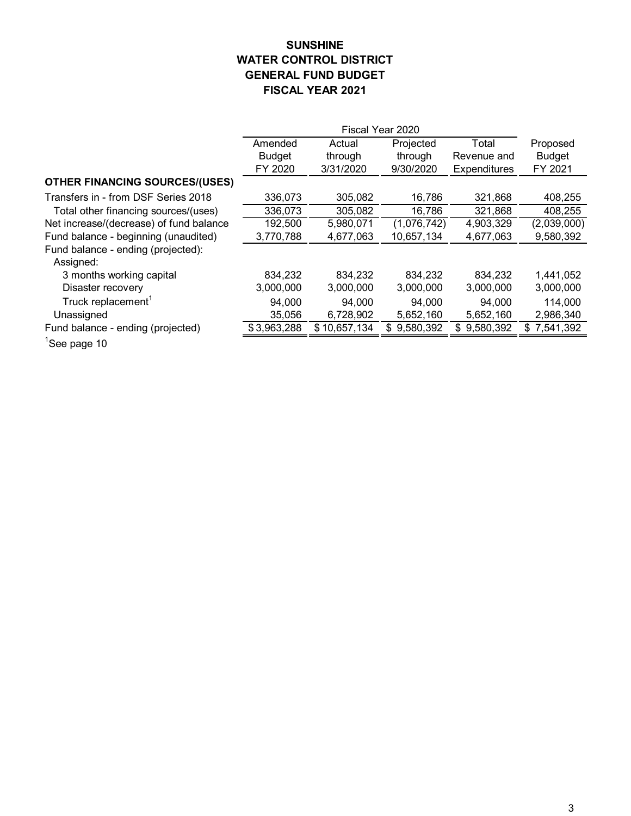# **SUNSHINE WATER CONTROL DISTRICT GENERAL FUND BUDGET FISCAL YEAR 2021**

|                                         | Amended       | Actual                   | Projected        | Total               | Proposed         |
|-----------------------------------------|---------------|--------------------------|------------------|---------------------|------------------|
|                                         | <b>Budget</b> | through                  | through          | Revenue and         | <b>Budget</b>    |
|                                         | FY 2020       | 3/31/2020                | 9/30/2020        | <b>Expenditures</b> | FY 2021          |
| <b>OTHER FINANCING SOURCES/(USES)</b>   |               |                          |                  |                     |                  |
| Transfers in - from DSF Series 2018     | 336,073       | 305,082                  | 16,786           | 321,868             | 408,255          |
| Total other financing sources/(uses)    | 336,073       | 305,082                  | 16,786           | 321,868             | 408,255          |
| Net increase/(decrease) of fund balance | 192,500       | 5,980,071                | (1,076,742)      | 4,903,329           | (2,039,000)      |
| Fund balance - beginning (unaudited)    | 3,770,788     | 4,677,063                | 10,657,134       | 4,677,063           | 9,580,392        |
| Fund balance - ending (projected):      |               |                          |                  |                     |                  |
| Assigned:                               |               |                          |                  |                     |                  |
| 3 months working capital                | 834,232       | 834,232                  | 834,232          | 834,232             | 1,441,052        |
| Disaster recovery                       | 3,000,000     | 3,000,000                | 3,000,000        | 3,000,000           | 3,000,000        |
| Truck replacement <sup>1</sup>          | 94,000        | 94,000                   | 94,000           | 94,000              | 114,000          |
| Unassigned                              | 35,056        | 6,728,902                | 5,652,160        | 5,652,160           | 2,986,340        |
| Fund balance - ending (projected)       | \$3,963,288   | $\overline{$}10,657,134$ | 9,580,392<br>\$. | 9,580,392<br>\$.    | 7,541,392<br>\$. |
| $1 -$<br>$\sim$ $\sim$                  |               |                          |                  |                     |                  |

<sup>1</sup>See page 10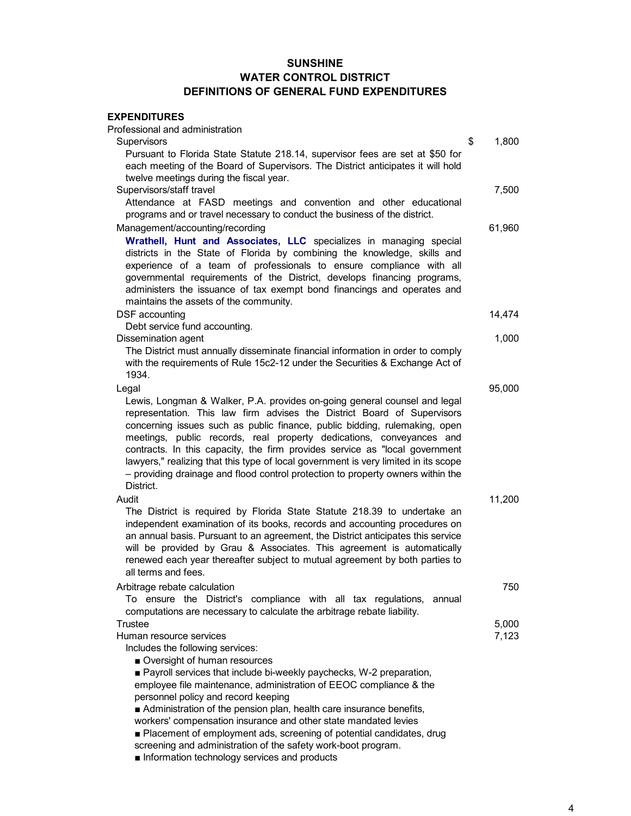| <b>EXPENDITURES</b>                                                                 |             |
|-------------------------------------------------------------------------------------|-------------|
| Professional and administration                                                     |             |
| Supervisors                                                                         | \$<br>1,800 |
| Pursuant to Florida State Statute 218.14, supervisor fees are set at \$50 for       |             |
| each meeting of the Board of Supervisors. The District anticipates it will hold     |             |
| twelve meetings during the fiscal year.                                             |             |
| Supervisors/staff travel                                                            | 7,500       |
| Attendance at FASD meetings and convention and other educational                    |             |
| programs and or travel necessary to conduct the business of the district.           |             |
| Management/accounting/recording                                                     | 61,960      |
| Wrathell, Hunt and Associates, LLC specializes in managing special                  |             |
| districts in the State of Florida by combining the knowledge, skills and            |             |
| experience of a team of professionals to ensure compliance with all                 |             |
| governmental requirements of the District, develops financing programs,             |             |
| administers the issuance of tax exempt bond financings and operates and             |             |
| maintains the assets of the community.                                              |             |
| DSF accounting                                                                      | 14,474      |
| Debt service fund accounting.                                                       |             |
| Dissemination agent                                                                 | 1,000       |
| The District must annually disseminate financial information in order to comply     |             |
| with the requirements of Rule 15c2-12 under the Securities & Exchange Act of        |             |
| 1934.                                                                               |             |
| Legal                                                                               | 95,000      |
| Lewis, Longman & Walker, P.A. provides on-going general counsel and legal           |             |
| representation. This law firm advises the District Board of Supervisors             |             |
| concerning issues such as public finance, public bidding, rulemaking, open          |             |
| meetings, public records, real property dedications, conveyances and                |             |
| contracts. In this capacity, the firm provides service as "local government         |             |
| lawyers," realizing that this type of local government is very limited in its scope |             |
| - providing drainage and flood control protection to property owners within the     |             |
| District.                                                                           |             |
| Audit                                                                               | 11,200      |
| The District is required by Florida State Statute 218.39 to undertake an            |             |
| independent examination of its books, records and accounting procedures on          |             |
| an annual basis. Pursuant to an agreement, the District anticipates this service    |             |
| will be provided by Grau & Associates. This agreement is automatically              |             |
| renewed each year thereafter subject to mutual agreement by both parties to         |             |
| all terms and fees.                                                                 |             |
| Arbitrage rebate calculation                                                        | 750         |
| To ensure the District's compliance with all tax regulations,<br>annual             |             |
| computations are necessary to calculate the arbitrage rebate liability.             |             |
| Trustee                                                                             | 5,000       |
| Human resource services                                                             | 7,123       |
| Includes the following services:                                                    |             |
| Oversight of human resources                                                        |             |
| Payroll services that include bi-weekly paychecks, W-2 preparation,                 |             |
| employee file maintenance, administration of EEOC compliance & the                  |             |
| personnel policy and record keeping                                                 |             |
| Administration of the pension plan, health care insurance benefits,                 |             |
| workers' compensation insurance and other state mandated levies                     |             |
| Placement of employment ads, screening of potential candidates, drug                |             |
|                                                                                     |             |

- screening and administration of the safety work-boot program.
- Information technology services and products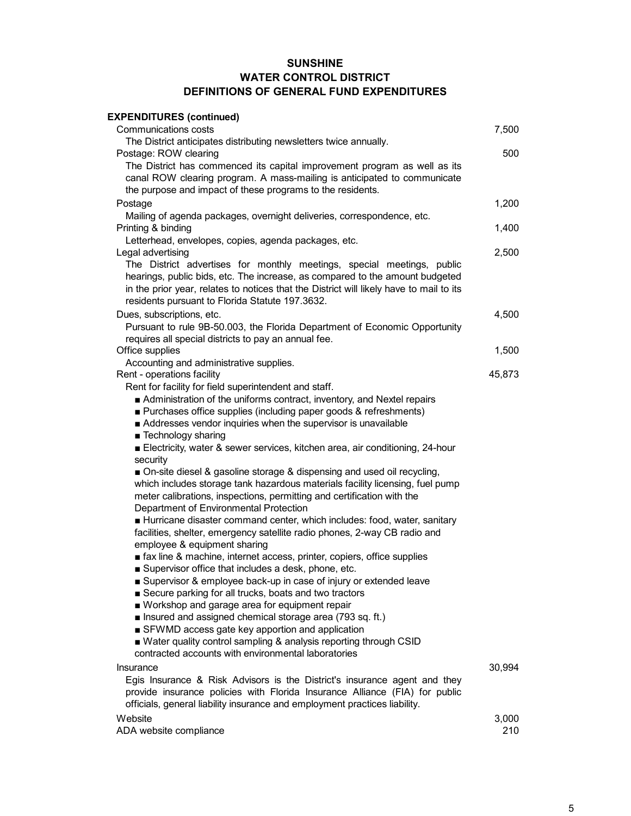| <b>EXPENDITURES (continued)</b>                                                         |        |
|-----------------------------------------------------------------------------------------|--------|
| <b>Communications costs</b>                                                             | 7,500  |
| The District anticipates distributing newsletters twice annually.                       |        |
| Postage: ROW clearing                                                                   | 500    |
| The District has commenced its capital improvement program as well as its               |        |
| canal ROW clearing program. A mass-mailing is anticipated to communicate                |        |
| the purpose and impact of these programs to the residents.                              |        |
| Postage                                                                                 | 1,200  |
| Mailing of agenda packages, overnight deliveries, correspondence, etc.                  |        |
| Printing & binding                                                                      | 1,400  |
| Letterhead, envelopes, copies, agenda packages, etc.                                    |        |
| Legal advertising                                                                       | 2,500  |
| The District advertises for monthly meetings, special meetings, public                  |        |
| hearings, public bids, etc. The increase, as compared to the amount budgeted            |        |
| in the prior year, relates to notices that the District will likely have to mail to its |        |
| residents pursuant to Florida Statute 197.3632.                                         |        |
| Dues, subscriptions, etc.                                                               | 4,500  |
| Pursuant to rule 9B-50.003, the Florida Department of Economic Opportunity              |        |
| requires all special districts to pay an annual fee.                                    |        |
| Office supplies                                                                         | 1,500  |
| Accounting and administrative supplies.                                                 |        |
| Rent - operations facility                                                              | 45,873 |
| Rent for facility for field superintendent and staff.                                   |        |
| Administration of the uniforms contract, inventory, and Nextel repairs                  |        |
| ■ Purchases office supplies (including paper goods & refreshments)                      |        |
| Addresses vendor inquiries when the supervisor is unavailable                           |        |
| ■ Technology sharing                                                                    |        |
| Electricity, water & sewer services, kitchen area, air conditioning, 24-hour            |        |
| security                                                                                |        |
| ■ On-site diesel & gasoline storage & dispensing and used oil recycling,                |        |
| which includes storage tank hazardous materials facility licensing, fuel pump           |        |
| meter calibrations, inspections, permitting and certification with the                  |        |
| Department of Environmental Protection                                                  |        |
| Hurricane disaster command center, which includes: food, water, sanitary                |        |
| facilities, shelter, emergency satellite radio phones, 2-way CB radio and               |        |
| employee & equipment sharing                                                            |        |
| stax line & machine, internet access, printer, copiers, office supplies                 |        |
| Supervisor office that includes a desk, phone, etc.                                     |        |
| Supervisor & employee back-up in case of injury or extended leave                       |        |
| Secure parking for all trucks, boats and two tractors                                   |        |
| ■ Workshop and garage area for equipment repair                                         |        |
| Insured and assigned chemical storage area (793 sq. ft.)                                |        |
| SFWMD access gate key apportion and application                                         |        |
| ■ Water quality control sampling & analysis reporting through CSID                      |        |
| contracted accounts with environmental laboratories                                     |        |
| Insurance                                                                               | 30,994 |
| Egis Insurance & Risk Advisors is the District's insurance agent and they               |        |
| provide insurance policies with Florida Insurance Alliance (FIA) for public             |        |
| officials, general liability insurance and employment practices liability.              |        |
| Website                                                                                 | 3,000  |
| ADA website compliance                                                                  | 210    |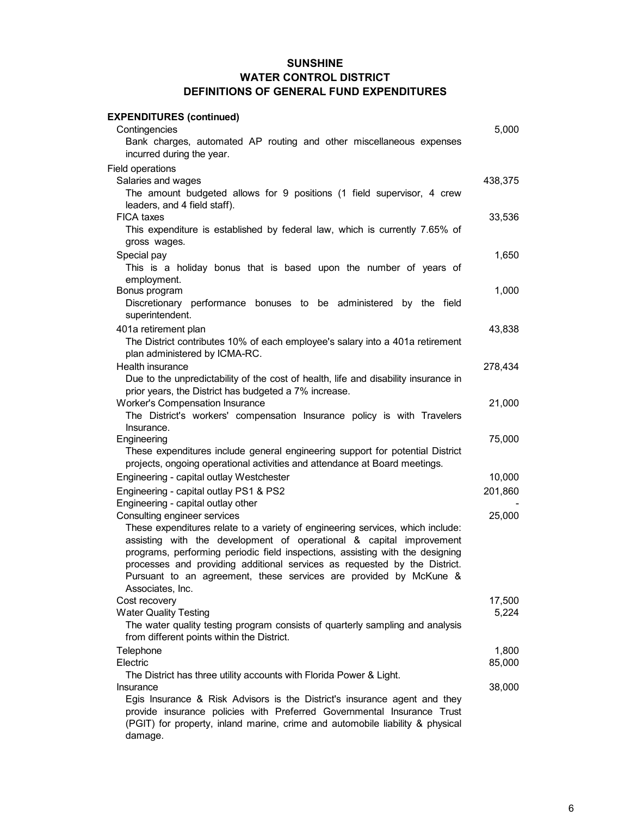| <b>EXPENDITURES (continued)</b>                                                                                                                                                                                                                                                                                                                                                                              |         |
|--------------------------------------------------------------------------------------------------------------------------------------------------------------------------------------------------------------------------------------------------------------------------------------------------------------------------------------------------------------------------------------------------------------|---------|
| Contingencies                                                                                                                                                                                                                                                                                                                                                                                                | 5,000   |
| Bank charges, automated AP routing and other miscellaneous expenses<br>incurred during the year.                                                                                                                                                                                                                                                                                                             |         |
| <b>Field operations</b>                                                                                                                                                                                                                                                                                                                                                                                      |         |
| Salaries and wages                                                                                                                                                                                                                                                                                                                                                                                           | 438,375 |
| The amount budgeted allows for 9 positions (1 field supervisor, 4 crew<br>leaders, and 4 field staff).                                                                                                                                                                                                                                                                                                       |         |
| <b>FICA taxes</b><br>This expenditure is established by federal law, which is currently 7.65% of                                                                                                                                                                                                                                                                                                             | 33,536  |
| gross wages.                                                                                                                                                                                                                                                                                                                                                                                                 |         |
| Special pay<br>This is a holiday bonus that is based upon the number of years of<br>employment.                                                                                                                                                                                                                                                                                                              | 1,650   |
| Bonus program                                                                                                                                                                                                                                                                                                                                                                                                | 1,000   |
| Discretionary performance bonuses to be administered by the field<br>superintendent.                                                                                                                                                                                                                                                                                                                         |         |
| 401a retirement plan                                                                                                                                                                                                                                                                                                                                                                                         | 43,838  |
| The District contributes 10% of each employee's salary into a 401a retirement<br>plan administered by ICMA-RC.                                                                                                                                                                                                                                                                                               |         |
| Health insurance                                                                                                                                                                                                                                                                                                                                                                                             | 278,434 |
| Due to the unpredictability of the cost of health, life and disability insurance in                                                                                                                                                                                                                                                                                                                          |         |
| prior years, the District has budgeted a 7% increase.                                                                                                                                                                                                                                                                                                                                                        | 21,000  |
| <b>Worker's Compensation Insurance</b><br>The District's workers' compensation Insurance policy is with Travelers<br>Insurance.                                                                                                                                                                                                                                                                              |         |
| Engineering                                                                                                                                                                                                                                                                                                                                                                                                  | 75,000  |
| These expenditures include general engineering support for potential District<br>projects, ongoing operational activities and attendance at Board meetings.                                                                                                                                                                                                                                                  |         |
| Engineering - capital outlay Westchester                                                                                                                                                                                                                                                                                                                                                                     | 10,000  |
| Engineering - capital outlay PS1 & PS2                                                                                                                                                                                                                                                                                                                                                                       | 201,860 |
| Engineering - capital outlay other                                                                                                                                                                                                                                                                                                                                                                           |         |
| Consulting engineer services                                                                                                                                                                                                                                                                                                                                                                                 | 25,000  |
| These expenditures relate to a variety of engineering services, which include:<br>assisting with the development of operational & capital improvement<br>programs, performing periodic field inspections, assisting with the designing<br>processes and providing additional services as requested by the District.<br>Pursuant to an agreement, these services are provided by McKune &<br>Associates, Inc. |         |
| Cost recovery                                                                                                                                                                                                                                                                                                                                                                                                | 17,500  |
| <b>Water Quality Testing</b>                                                                                                                                                                                                                                                                                                                                                                                 | 5,224   |
| The water quality testing program consists of quarterly sampling and analysis<br>from different points within the District.                                                                                                                                                                                                                                                                                  |         |
| Telephone                                                                                                                                                                                                                                                                                                                                                                                                    | 1,800   |
| Electric                                                                                                                                                                                                                                                                                                                                                                                                     | 85,000  |
| The District has three utility accounts with Florida Power & Light.<br>Insurance                                                                                                                                                                                                                                                                                                                             | 38,000  |
| Egis Insurance & Risk Advisors is the District's insurance agent and they<br>provide insurance policies with Preferred Governmental Insurance Trust<br>(PGIT) for property, inland marine, crime and automobile liability & physical<br>damage.                                                                                                                                                              |         |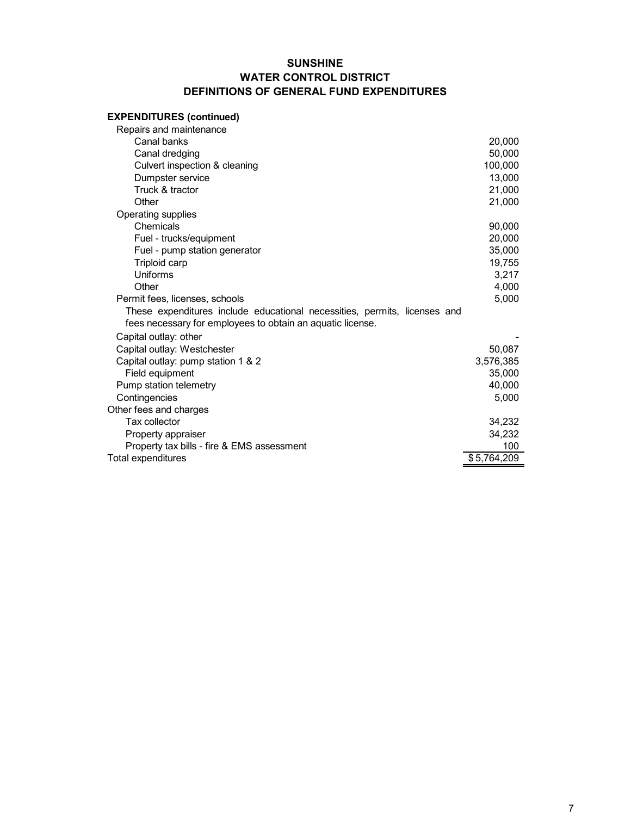# **EXPENDITURES (continued)**

| Canal banks<br>Canal dredging<br>Culvert inspection & cleaning<br>Dumpster service<br>Truck & tractor<br>Other<br>Operating supplies<br>Chemicals<br>Fuel - trucks/equipment<br>Fuel - pump station generator<br>Triploid carp<br>Uniforms<br>Other<br>Permit fees, licenses, schools<br>These expenditures include educational necessities, permits, licenses and<br>fees necessary for employees to obtain an aquatic license.<br>Capital outlay: other<br>Capital outlay: Westchester<br>Capital outlay: pump station 1 & 2<br>Field equipment<br>Pump station telemetry<br>Contingencies<br>Other fees and charges<br>Tax collector<br>Property appraiser<br>Property tax bills - fire & EMS assessment<br>Total expenditures | Repairs and maintenance |             |
|-----------------------------------------------------------------------------------------------------------------------------------------------------------------------------------------------------------------------------------------------------------------------------------------------------------------------------------------------------------------------------------------------------------------------------------------------------------------------------------------------------------------------------------------------------------------------------------------------------------------------------------------------------------------------------------------------------------------------------------|-------------------------|-------------|
|                                                                                                                                                                                                                                                                                                                                                                                                                                                                                                                                                                                                                                                                                                                                   |                         | 20,000      |
|                                                                                                                                                                                                                                                                                                                                                                                                                                                                                                                                                                                                                                                                                                                                   |                         | 50,000      |
|                                                                                                                                                                                                                                                                                                                                                                                                                                                                                                                                                                                                                                                                                                                                   |                         | 100,000     |
|                                                                                                                                                                                                                                                                                                                                                                                                                                                                                                                                                                                                                                                                                                                                   |                         | 13,000      |
|                                                                                                                                                                                                                                                                                                                                                                                                                                                                                                                                                                                                                                                                                                                                   |                         | 21,000      |
|                                                                                                                                                                                                                                                                                                                                                                                                                                                                                                                                                                                                                                                                                                                                   |                         | 21,000      |
|                                                                                                                                                                                                                                                                                                                                                                                                                                                                                                                                                                                                                                                                                                                                   |                         |             |
|                                                                                                                                                                                                                                                                                                                                                                                                                                                                                                                                                                                                                                                                                                                                   |                         | 90,000      |
|                                                                                                                                                                                                                                                                                                                                                                                                                                                                                                                                                                                                                                                                                                                                   |                         | 20,000      |
|                                                                                                                                                                                                                                                                                                                                                                                                                                                                                                                                                                                                                                                                                                                                   |                         | 35,000      |
|                                                                                                                                                                                                                                                                                                                                                                                                                                                                                                                                                                                                                                                                                                                                   |                         | 19,755      |
|                                                                                                                                                                                                                                                                                                                                                                                                                                                                                                                                                                                                                                                                                                                                   |                         | 3,217       |
|                                                                                                                                                                                                                                                                                                                                                                                                                                                                                                                                                                                                                                                                                                                                   |                         | 4,000       |
|                                                                                                                                                                                                                                                                                                                                                                                                                                                                                                                                                                                                                                                                                                                                   |                         | 5,000       |
|                                                                                                                                                                                                                                                                                                                                                                                                                                                                                                                                                                                                                                                                                                                                   |                         |             |
|                                                                                                                                                                                                                                                                                                                                                                                                                                                                                                                                                                                                                                                                                                                                   |                         |             |
|                                                                                                                                                                                                                                                                                                                                                                                                                                                                                                                                                                                                                                                                                                                                   |                         |             |
|                                                                                                                                                                                                                                                                                                                                                                                                                                                                                                                                                                                                                                                                                                                                   |                         | 50,087      |
|                                                                                                                                                                                                                                                                                                                                                                                                                                                                                                                                                                                                                                                                                                                                   |                         | 3,576,385   |
|                                                                                                                                                                                                                                                                                                                                                                                                                                                                                                                                                                                                                                                                                                                                   |                         | 35,000      |
|                                                                                                                                                                                                                                                                                                                                                                                                                                                                                                                                                                                                                                                                                                                                   |                         | 40,000      |
|                                                                                                                                                                                                                                                                                                                                                                                                                                                                                                                                                                                                                                                                                                                                   |                         | 5,000       |
|                                                                                                                                                                                                                                                                                                                                                                                                                                                                                                                                                                                                                                                                                                                                   |                         |             |
|                                                                                                                                                                                                                                                                                                                                                                                                                                                                                                                                                                                                                                                                                                                                   |                         | 34,232      |
|                                                                                                                                                                                                                                                                                                                                                                                                                                                                                                                                                                                                                                                                                                                                   |                         | 34,232      |
|                                                                                                                                                                                                                                                                                                                                                                                                                                                                                                                                                                                                                                                                                                                                   |                         | 100         |
|                                                                                                                                                                                                                                                                                                                                                                                                                                                                                                                                                                                                                                                                                                                                   |                         | \$5,764,209 |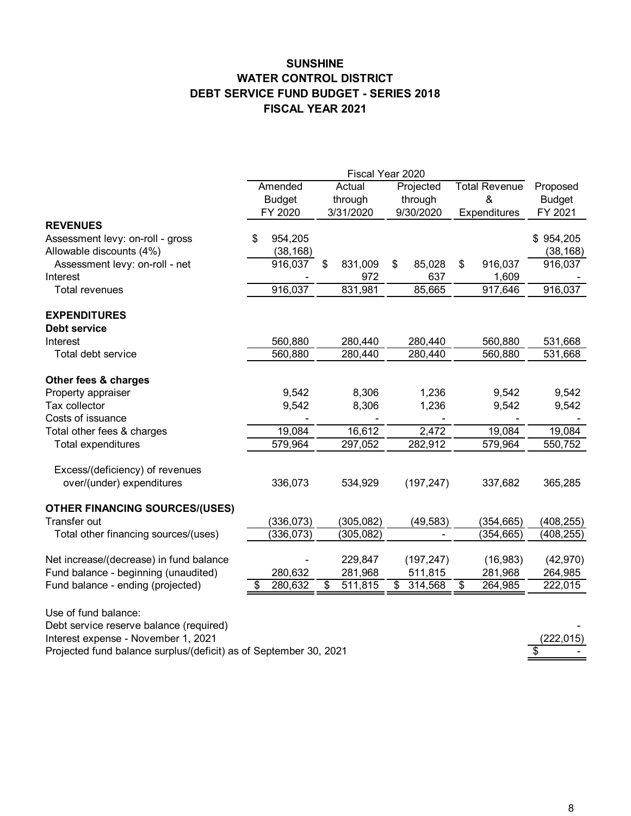# **SUNSHINE WATER CONTROL DISTRICT DEBT SERVICE FUND BUDGET - SERIES 2018 FISCAL YEAR 2021**

|                                                                   |                          |            |    | Fiscal Year 2020  |                      |                |                           |            |                           |  |
|-------------------------------------------------------------------|--------------------------|------------|----|-------------------|----------------------|----------------|---------------------------|------------|---------------------------|--|
|                                                                   | Amended<br><b>Budget</b> |            |    | Actual<br>through | Projected<br>through |                | <b>Total Revenue</b><br>& |            | Proposed<br><b>Budget</b> |  |
|                                                                   |                          | FY 2020    |    | 3/31/2020         |                      | 9/30/2020      | Expenditures              |            | FY 2021                   |  |
| <b>REVENUES</b>                                                   |                          |            |    |                   |                      |                |                           |            |                           |  |
| Assessment levy: on-roll - gross                                  | S                        | 954,205    |    |                   |                      |                |                           |            | \$954,205                 |  |
| Allowable discounts (4%)                                          |                          | (38, 168)  |    |                   |                      |                |                           |            | (38, 168)                 |  |
| Assessment levy: on-roll - net                                    |                          | 916,037    | \$ | 831,009           | \$                   | 85,028         | \$                        | 916,037    | 916,037                   |  |
| Interest                                                          |                          |            |    | 972               |                      | 637            |                           | 1,609      |                           |  |
| <b>Total revenues</b>                                             |                          | 916,037    |    | 831,981           |                      | 85,665         |                           | 917,646    | 916,037                   |  |
| <b>EXPENDITURES</b>                                               |                          |            |    |                   |                      |                |                           |            |                           |  |
| Debt service                                                      |                          |            |    |                   |                      |                |                           |            |                           |  |
| Interest                                                          |                          | 560,880    |    | 280,440           |                      | 280,440        |                           | 560,880    | 531,668                   |  |
| Total debt service                                                |                          | 560,880    |    | 280,440           |                      | 280,440        |                           | 560,880    | 531,668                   |  |
| Other fees & charges                                              |                          |            |    |                   |                      |                |                           |            |                           |  |
| Property appraiser                                                |                          | 9,542      |    | 8,306             |                      | 1,236          |                           | 9,542      | 9,542                     |  |
| Tax collector                                                     |                          | 9,542      |    | 8,306             |                      | 1,236          |                           | 9,542      | 9,542                     |  |
| Costs of issuance                                                 |                          |            |    |                   |                      |                |                           |            |                           |  |
| Total other fees & charges                                        |                          | 19,084     |    | 16,612            |                      | $\sqrt{2,472}$ |                           | 19,084     | 19,084                    |  |
| Total expenditures                                                |                          | 579,964    |    | 297,052           |                      | 282,912        |                           | 579,964    | 550,752                   |  |
| Excess/(deficiency) of revenues                                   |                          |            |    |                   |                      |                |                           |            |                           |  |
| over/(under) expenditures                                         |                          | 336,073    |    | 534,929           |                      | (197, 247)     |                           | 337,682    | 365,285                   |  |
| <b>OTHER FINANCING SOURCES/(USES)</b>                             |                          |            |    |                   |                      |                |                           |            |                           |  |
| Transfer out                                                      |                          | (336, 073) |    | (305, 082)        |                      | (49, 583)      |                           | (354, 665) | (408, 255)                |  |
| Total other financing sources/(uses)                              |                          | (336, 073) |    | (305, 082)        |                      |                |                           | (354,665)  | (408, 255)                |  |
| Net increase/(decrease) in fund balance                           |                          |            |    | 229,847           |                      | (197, 247)     |                           | (16, 983)  | (42, 970)                 |  |
| Fund balance - beginning (unaudited)                              |                          | 280,632    |    | 281,968           |                      | 511,815        |                           | 281,968    | 264,985                   |  |
| Fund balance - ending (projected)                                 | \$                       | 280,632    | S  | 511,815           | \$                   | 314,568        | \$                        | 264,985    | 222,015                   |  |
|                                                                   |                          |            |    |                   |                      |                |                           |            |                           |  |
| Use of fund balance:                                              |                          |            |    |                   |                      |                |                           |            |                           |  |
| Debt service reserve balance (required)                           |                          |            |    |                   |                      |                |                           |            |                           |  |
| Interest expense - November 1, 2021                               |                          |            |    |                   |                      |                |                           |            | (222, 015)<br>\$          |  |
| Projected fund balance surplus/(deficit) as of September 30, 2021 |                          |            |    |                   |                      |                |                           |            |                           |  |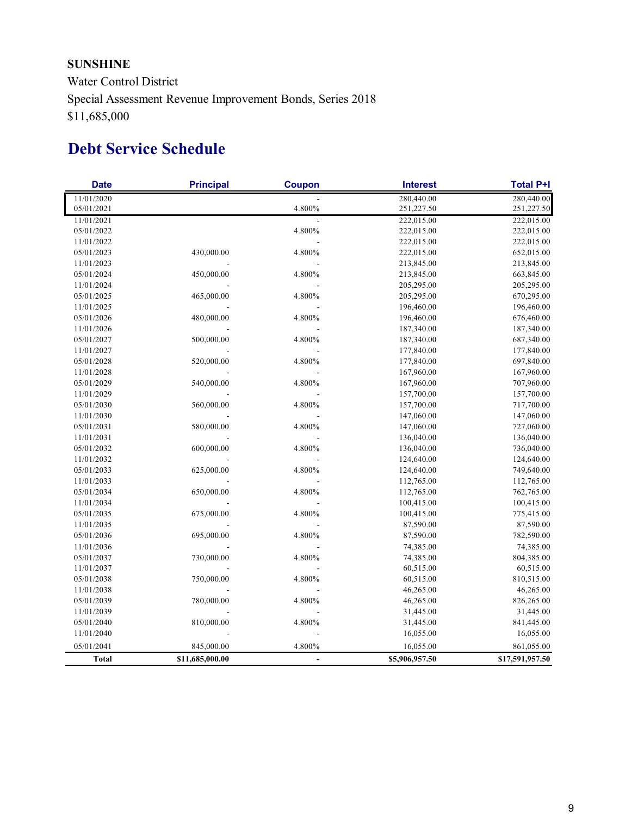# **SUNSHINE**

Water Control District Special Assessment Revenue Improvement Bonds, Series 2018 \$11,685,000

# **Debt Service Schedule**

| <b>Date</b>  | <b>Principal</b> | <b>Coupon</b>            | <b>Interest</b> | <b>Total P+I</b> |
|--------------|------------------|--------------------------|-----------------|------------------|
| 11/01/2020   |                  |                          | 280,440.00      | 280,440.00       |
| 05/01/2021   |                  | 4.800%                   | 251,227.50      | 251,227.50       |
| 11/01/2021   |                  |                          | 222,015.00      | 222,015.00       |
| 05/01/2022   |                  | 4.800%                   | 222,015.00      | 222,015.00       |
| 11/01/2022   |                  |                          | 222,015.00      | 222,015.00       |
| 05/01/2023   | 430,000.00       | 4.800%                   | 222,015.00      | 652,015.00       |
| 11/01/2023   |                  |                          | 213,845.00      | 213,845.00       |
| 05/01/2024   | 450,000.00       | 4.800%                   | 213,845.00      | 663,845.00       |
| 11/01/2024   |                  |                          | 205,295.00      | 205,295.00       |
| 05/01/2025   | 465,000.00       | 4.800%                   | 205,295.00      | 670,295.00       |
| 11/01/2025   |                  |                          | 196,460.00      | 196,460.00       |
| 05/01/2026   | 480,000.00       | 4.800%                   | 196,460.00      | 676,460.00       |
| 11/01/2026   |                  |                          | 187,340.00      | 187,340.00       |
| 05/01/2027   | 500,000.00       | 4.800%                   | 187,340.00      | 687,340.00       |
| 11/01/2027   |                  |                          | 177,840.00      | 177,840.00       |
| 05/01/2028   | 520,000.00       | 4.800%                   | 177,840.00      | 697,840.00       |
| 11/01/2028   |                  |                          | 167,960.00      | 167,960.00       |
| 05/01/2029   | 540,000.00       | 4.800%                   | 167,960.00      | 707,960.00       |
| 11/01/2029   |                  |                          | 157,700.00      | 157,700.00       |
| 05/01/2030   | 560,000.00       | 4.800%                   | 157,700.00      | 717,700.00       |
| 11/01/2030   |                  |                          | 147,060.00      | 147,060.00       |
| 05/01/2031   | 580,000.00       | 4.800%                   | 147,060.00      | 727,060.00       |
| 11/01/2031   |                  |                          | 136,040.00      | 136,040.00       |
| 05/01/2032   | 600,000.00       | 4.800%                   | 136,040.00      | 736,040.00       |
| 11/01/2032   |                  |                          | 124,640.00      | 124,640.00       |
| 05/01/2033   | 625,000.00       | 4.800%                   | 124,640.00      | 749,640.00       |
| 11/01/2033   |                  |                          | 112,765.00      | 112,765.00       |
| 05/01/2034   | 650,000.00       | 4.800%                   | 112,765.00      | 762,765.00       |
| 11/01/2034   |                  |                          | 100,415.00      | 100,415.00       |
| 05/01/2035   | 675,000.00       | 4.800%                   | 100,415.00      | 775,415.00       |
| 11/01/2035   |                  |                          | 87,590.00       | 87,590.00        |
| 05/01/2036   | 695,000.00       | 4.800%                   | 87,590.00       | 782,590.00       |
| 11/01/2036   |                  |                          | 74,385.00       | 74,385.00        |
| 05/01/2037   | 730,000.00       | 4.800%                   | 74,385.00       | 804,385.00       |
| 11/01/2037   |                  |                          | 60,515.00       | 60,515.00        |
| 05/01/2038   | 750,000.00       | 4.800%                   | 60,515.00       | 810,515.00       |
| 11/01/2038   |                  |                          | 46,265.00       | 46,265.00        |
| 05/01/2039   | 780,000.00       | 4.800%                   | 46,265.00       | 826,265.00       |
| 11/01/2039   |                  |                          | 31,445.00       | 31,445.00        |
| 05/01/2040   | 810,000.00       | 4.800%                   | 31,445.00       | 841,445.00       |
| 11/01/2040   |                  |                          | 16,055.00       | 16,055.00        |
| 05/01/2041   | 845,000.00       | 4.800%                   | 16,055.00       | 861,055.00       |
| <b>Total</b> | \$11,685,000.00  | $\overline{\phantom{a}}$ | \$5,906,957.50  | \$17,591,957.50  |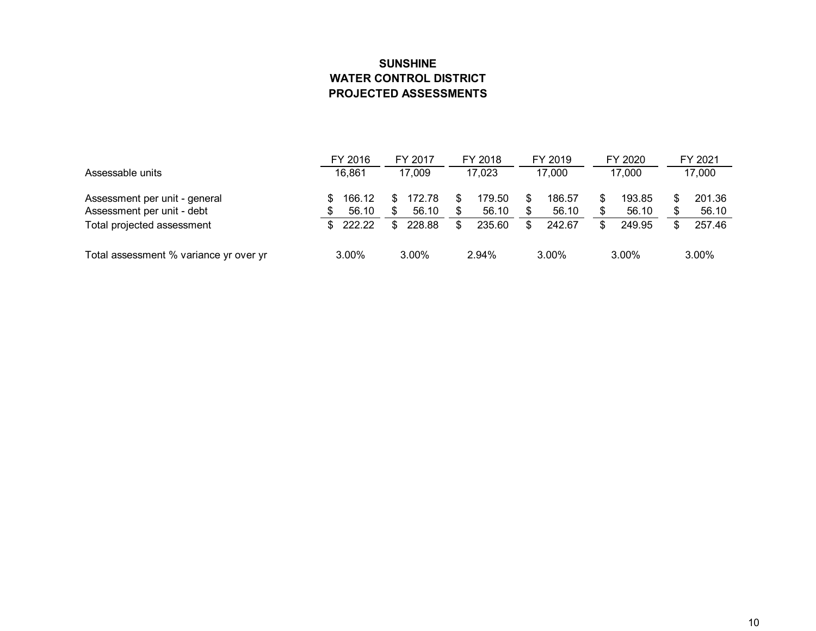# **SUNSHINE WATER CONTROL DISTRICT PROJECTED ASSESSMENTS**

|                                        |        | FY 2016 |  | FY 2017  |  | FY 2018 |  | FY 2019  |  | FY 2020  |   | FY 2021 |  |
|----------------------------------------|--------|---------|--|----------|--|---------|--|----------|--|----------|---|---------|--|
| Assessable units                       | 16,861 |         |  | 17,009   |  | 17,023  |  | 17,000   |  | 17,000   |   | 17,000  |  |
| Assessment per unit - general          |        | 166.12  |  | 172.78   |  | 179.50  |  | 186.57   |  | 193.85   | S | 201.36  |  |
| Assessment per unit - debt             |        | 56.10   |  | 56.10    |  | 56.10   |  | 56.10    |  | 56.10    |   | 56.10   |  |
| Total projected assessment             |        | 222.22  |  | 228.88   |  | 235.60  |  | 242.67   |  | 249.95   | S | 257.46  |  |
| Total assessment % variance yr over yr | 3.00%  |         |  | $3.00\%$ |  | 2.94%   |  | $3.00\%$ |  | $3.00\%$ |   | 3.00%   |  |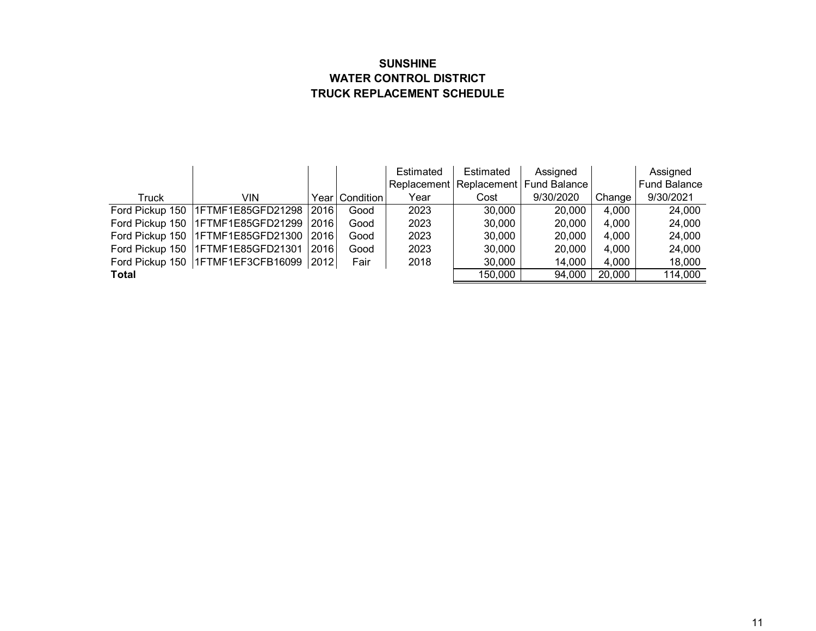# **SUNSHINE WATER CONTROL DISTRICT TRUCK REPLACEMENT SCHEDULE**

|       |                                            |      |                  | Estimated | Estimated | Assigned                                 |        | Assigned     |
|-------|--------------------------------------------|------|------------------|-----------|-----------|------------------------------------------|--------|--------------|
|       |                                            |      |                  |           |           | Replacement   Replacement   Fund Balance |        | Fund Balance |
| Truck | VIN                                        |      | Year   Condition | Year      | Cost      | 9/30/2020                                | Change | 9/30/2021    |
|       | Ford Pickup 150   1FTMF1E85GFD21298   2016 |      | Good             | 2023      | 30,000    | 20,000                                   | 4,000  | 24,000       |
|       | Ford Pickup 150   1FTMF1E85GFD21299   2016 |      | Good             | 2023      | 30,000    | 20,000                                   | 4,000  | 24,000       |
|       | Ford Pickup 150   1FTMF1E85GFD21300   2016 |      | Good             | 2023      | 30,000    | 20,000                                   | 4,000  | 24,000       |
|       | Ford Pickup 150   1FTMF1E85GFD21301        | 2016 | Good             | 2023      | 30,000    | 20,000                                   | 4,000  | 24,000       |
|       | Ford Pickup 150   1FTMF1EF3CFB16099   2012 |      | Fair             | 2018      | 30,000    | 14,000                                   | 4,000  | 18,000       |
| Total |                                            |      |                  |           | 150,000   | 94,000                                   | 20,000 | 114,000      |